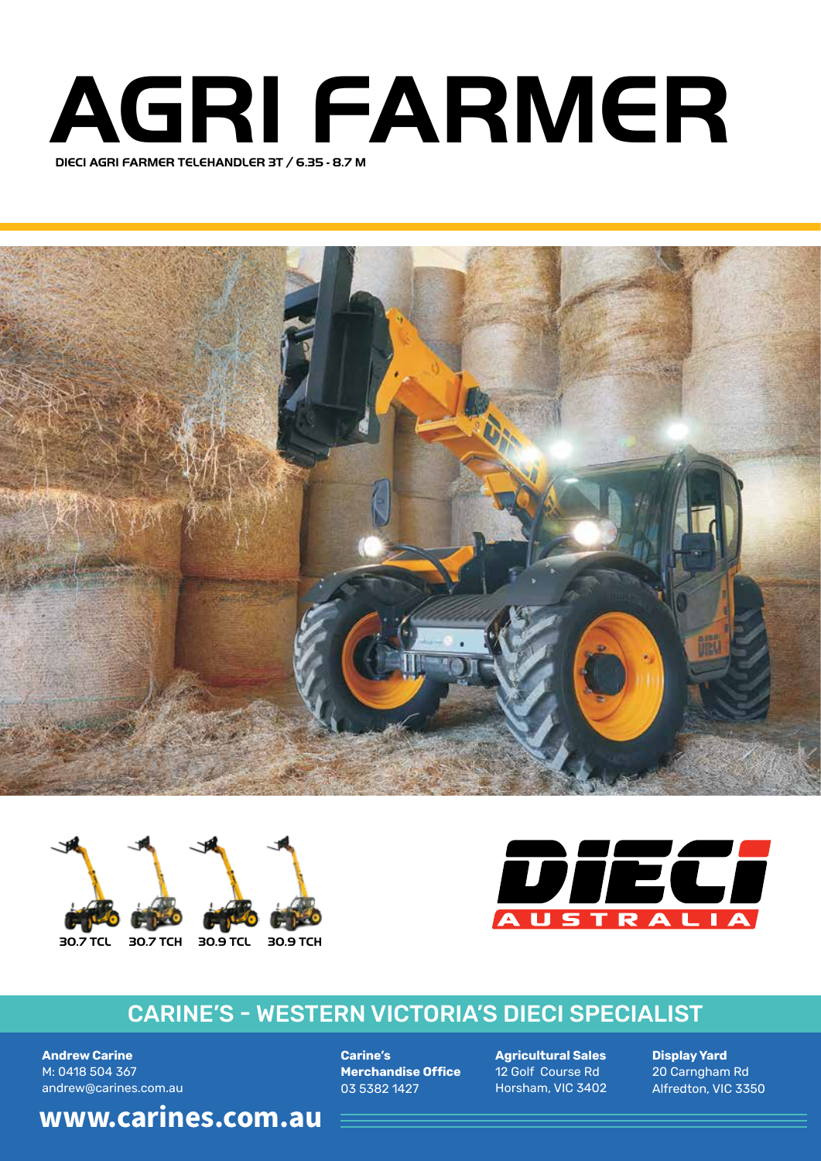## **DIECI AGRI FARMER TELEHANDLER 3T / 6.35 - 8.7 M AGRI FARMER**







## **CARINE'S - WESTERN VICTORIA'S DIECI SPECIALIST**

**Andrew Carine** M: 0418 504 367 andrew@carines.com.au

**Carine's Merchandise Office** 03 5382 1427

**Agricultural Sales** 12 Golf Course Rd Horsham, VIC 3402

**Display Yard** 20 Carngham Rd Alfredton, VIC 3350

**30.7 TCL 30.7 TCH 30.9 TCL 30.9 TCH www.carines.com.au**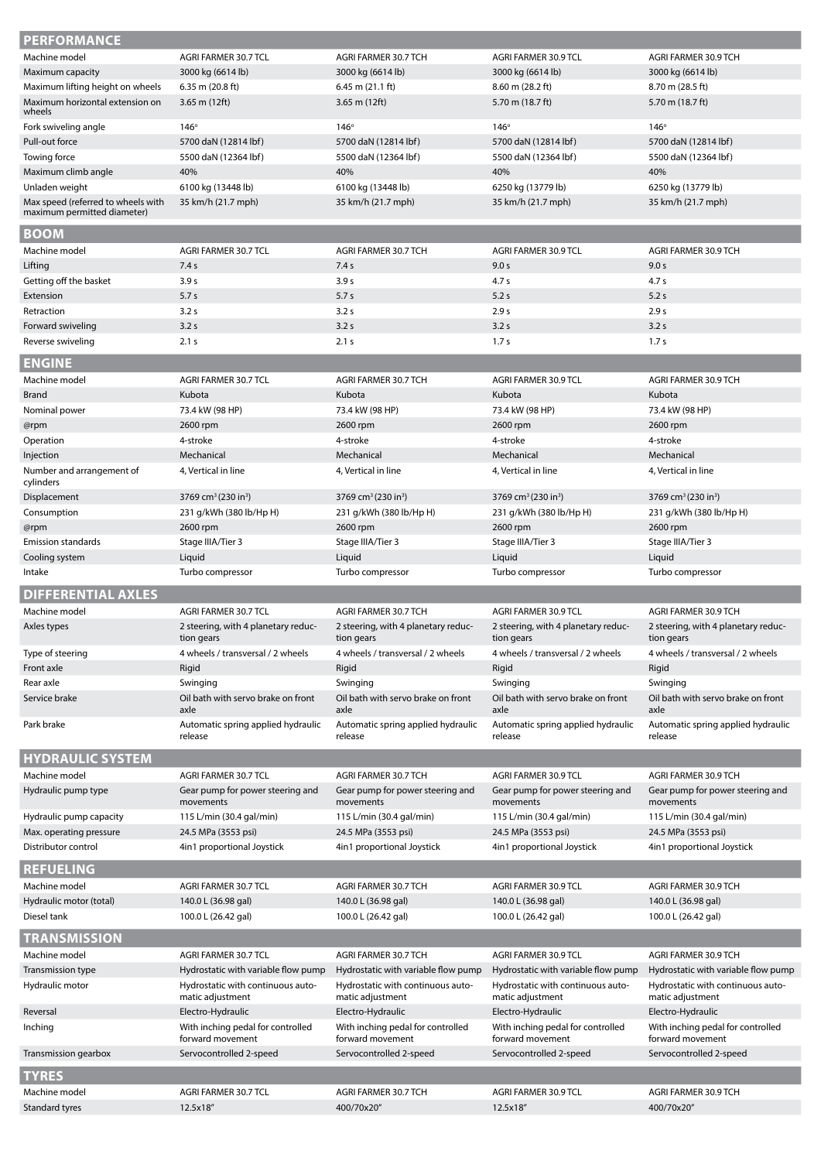| <b>PERFORMANCE</b>                                   |                                                                        |                                                                        |                                                                        |                                                                        |
|------------------------------------------------------|------------------------------------------------------------------------|------------------------------------------------------------------------|------------------------------------------------------------------------|------------------------------------------------------------------------|
| Machine model                                        | AGRI FARMER 30.7 TCL                                                   | AGRI FARMER 30.7 TCH                                                   | AGRI FARMER 30.9 TCL                                                   | AGRI FARMER 30.9 TCH                                                   |
| Maximum capacity                                     | 3000 kg (6614 lb)                                                      | 3000 kg (6614 lb)                                                      | 3000 kg (6614 lb)                                                      | 3000 kg (6614 lb)                                                      |
| Maximum lifting height on wheels                     | 6.35 m (20.8 ft)                                                       | $6.45$ m $(21.1)$ ft)                                                  | 8.60 m (28.2 ft)                                                       | 8.70 m (28.5 ft)                                                       |
| Maximum horizontal extension on<br>wheels            | $3.65$ m (12ft)                                                        | 3.65 m (12ft)                                                          | 5.70 m (18.7 ft)                                                       | 5.70 m (18.7 ft)                                                       |
| Fork swiveling angle                                 | $146^\circ$                                                            | $146^\circ$                                                            | $146^\circ$                                                            | $146^\circ$                                                            |
| Pull-out force                                       | 5700 daN (12814 lbf)                                                   | 5700 daN (12814 lbf)                                                   | 5700 daN (12814 lbf)                                                   | 5700 daN (12814 lbf)                                                   |
| Towing force                                         | 5500 daN (12364 lbf)                                                   | 5500 daN (12364 lbf)                                                   | 5500 daN (12364 lbf)                                                   | 5500 daN (12364 lbf)                                                   |
| Maximum climb angle                                  | 40%                                                                    | 40%                                                                    | 40%                                                                    | 40%                                                                    |
| Unladen weight<br>Max speed (referred to wheels with | 6100 kg (13448 lb)<br>35 km/h (21.7 mph)                               | 6100 kg (13448 lb)<br>35 km/h (21.7 mph)                               | 6250 kg (13779 lb)<br>35 km/h (21.7 mph)                               | 6250 kg (13779 lb)<br>35 km/h (21.7 mph)                               |
| maximum permitted diameter)                          |                                                                        |                                                                        |                                                                        |                                                                        |
| <b>BOOM</b>                                          |                                                                        |                                                                        |                                                                        |                                                                        |
| Machine model                                        | AGRI FARMER 30.7 TCL                                                   | AGRI FARMER 30.7 TCH                                                   | AGRI FARMER 30.9 TCL                                                   | AGRI FARMER 30.9 TCH                                                   |
| Lifting                                              | 7.4 s                                                                  | 7.4s                                                                   | 9.0 s                                                                  | 9.0 s                                                                  |
| Getting off the basket                               | 3.9 <sub>s</sub>                                                       | 3.9 <sub>s</sub>                                                       | 4.7 <sub>s</sub>                                                       | 4.7 <sub>s</sub>                                                       |
| Extension                                            | 5.7s                                                                   | 5.7s                                                                   | 5.2s                                                                   | 5.2 s                                                                  |
| Retraction                                           | 3.2s                                                                   | 3.2s                                                                   | 2.9 s                                                                  | 2.9 s                                                                  |
| Forward swiveling                                    | 3.2s                                                                   | 3.2s                                                                   | 3.2s                                                                   | 3.2s                                                                   |
| Reverse swiveling                                    | 2.1 s                                                                  | 2.1 s                                                                  | 1.7 <sub>s</sub>                                                       | 1.7 <sub>s</sub>                                                       |
| <b>ENGINE</b>                                        |                                                                        |                                                                        |                                                                        |                                                                        |
| Machine model                                        | AGRI FARMER 30.7 TCL                                                   | AGRI FARMER 30.7 TCH                                                   | AGRI FARMER 30.9 TCL                                                   | AGRI FARMER 30.9 TCH                                                   |
| <b>Brand</b><br>Nominal power                        | Kubota<br>73.4 kW (98 HP)                                              | Kubota<br>73.4 kW (98 HP)                                              | Kubota<br>73.4 kW (98 HP)                                              | Kubota<br>73.4 kW (98 HP)                                              |
| @rpm                                                 | 2600 rpm                                                               | 2600 rpm                                                               | 2600 rpm                                                               | 2600 rpm                                                               |
| Operation                                            | 4-stroke                                                               | 4-stroke                                                               | 4-stroke                                                               | 4-stroke                                                               |
| Injection                                            | Mechanical                                                             | Mechanical                                                             | Mechanical                                                             | Mechanical                                                             |
| Number and arrangement of                            | 4, Vertical in line                                                    | 4, Vertical in line                                                    | 4, Vertical in line                                                    | 4, Vertical in line                                                    |
| cylinders                                            |                                                                        |                                                                        |                                                                        |                                                                        |
| Displacement<br>Consumption                          | 3769 cm <sup>3</sup> (230 in <sup>3</sup> )<br>231 g/kWh (380 lb/Hp H) | 3769 cm <sup>3</sup> (230 in <sup>3</sup> )<br>231 g/kWh (380 lb/Hp H) | 3769 cm <sup>3</sup> (230 in <sup>3</sup> )<br>231 g/kWh (380 lb/Hp H) | 3769 cm <sup>3</sup> (230 in <sup>3</sup> )<br>231 g/kWh (380 lb/Hp H) |
| @rpm                                                 | 2600 rpm                                                               | 2600 rpm                                                               | 2600 rpm                                                               | 2600 rpm                                                               |
| <b>Emission standards</b>                            | Stage IIIA/Tier 3                                                      | Stage IIIA/Tier 3                                                      | Stage IIIA/Tier 3                                                      | Stage IIIA/Tier 3                                                      |
| Cooling system                                       | Liquid                                                                 | Liquid                                                                 | Liquid                                                                 | Liquid                                                                 |
| Intake                                               | Turbo compressor                                                       | Turbo compressor                                                       | Turbo compressor                                                       | Turbo compressor                                                       |
| <b>DIFFERENTIAL AXLES</b>                            |                                                                        |                                                                        |                                                                        |                                                                        |
| Machine model                                        | AGRI FARMER 30.7 TCL                                                   | AGRI FARMER 30.7 TCH                                                   | AGRI FARMER 30.9 TCL                                                   | AGRI FARMER 30.9 TCH                                                   |
| Axles types                                          | 2 steering, with 4 planetary reduc-<br>tion gears                      | 2 steering, with 4 planetary reduc-<br>tion gears                      | 2 steering, with 4 planetary reduc-<br>tion gears                      | 2 steering, with 4 planetary reduc-<br>tion gears                      |
| Type of steering                                     | 4 wheels / transversal / 2 wheels                                      | 4 wheels / transversal / 2 wheels                                      | 4 wheels / transversal / 2 wheels                                      | 4 wheels / transversal / 2 wheels                                      |
| Front axle                                           | Rigid                                                                  | Rigid                                                                  | Rigid                                                                  | Rigid                                                                  |
| Rear axle                                            | Swinging                                                               | Swinging                                                               | Swinging                                                               | Swinging                                                               |
| Service brake                                        | Oil bath with servo brake on front<br>axle                             | Oil bath with servo brake on front<br>axle                             | Oil bath with servo brake on front<br>axle                             | Oil bath with servo brake on front<br>axle                             |
| Park brake                                           | Automatic spring applied hydraulic<br>release                          | Automatic spring applied hydraulic<br>release                          | Automatic spring applied hydraulic<br>release                          | Automatic spring applied hydraulic<br>release                          |
| <b>HYDRAULIC SYSTEM</b>                              |                                                                        |                                                                        |                                                                        |                                                                        |
| Machine model                                        | AGRI FARMER 30.7 TCL                                                   | AGRI FARMER 30.7 TCH                                                   | AGRI FARMER 30.9 TCL                                                   | AGRI FARMER 30.9 TCH                                                   |
| Hydraulic pump type                                  | Gear pump for power steering and<br>movements                          | Gear pump for power steering and<br>movements                          | Gear pump for power steering and<br>movements                          | Gear pump for power steering and<br>movements                          |
| Hydraulic pump capacity                              | 115 L/min (30.4 gal/min)                                               | 115 L/min (30.4 gal/min)                                               | 115 L/min (30.4 gal/min)                                               | 115 L/min (30.4 gal/min)                                               |
| Max. operating pressure                              | 24.5 MPa (3553 psi)                                                    | 24.5 MPa (3553 psi)                                                    | 24.5 MPa (3553 psi)                                                    | 24.5 MPa (3553 psi)                                                    |
| Distributor control                                  | 4in1 proportional Joystick                                             | 4in1 proportional Joystick                                             | 4in1 proportional Joystick                                             | 4in1 proportional Joystick                                             |
| <b>REFUELING</b>                                     |                                                                        |                                                                        |                                                                        |                                                                        |
| Machine model                                        | AGRI FARMER 30.7 TCL                                                   | AGRI FARMER 30.7 TCH                                                   | AGRI FARMER 30.9 TCL                                                   | AGRI FARMER 30.9 TCH                                                   |
| Hydraulic motor (total)                              | 140.0 L (36.98 gal)                                                    | 140.0 L (36.98 gal)                                                    | 140.0 L (36.98 gal)                                                    | 140.0 L (36.98 gal)                                                    |
| Diesel tank                                          | 100.0 L (26.42 gal)                                                    | 100.0 L (26.42 gal)                                                    | 100.0 L (26.42 gal)                                                    | 100.0 L (26.42 gal)                                                    |
| <b>TRANSMISSION</b>                                  |                                                                        |                                                                        |                                                                        |                                                                        |
| Machine model                                        | AGRI FARMER 30.7 TCL                                                   | AGRI FARMER 30.7 TCH                                                   | AGRI FARMER 30.9 TCL                                                   | AGRI FARMER 30.9 TCH                                                   |
| Transmission type                                    | Hydrostatic with variable flow pump                                    | Hydrostatic with variable flow pump                                    | Hydrostatic with variable flow pump                                    | Hydrostatic with variable flow pump                                    |
| Hydraulic motor                                      | Hydrostatic with continuous auto-<br>matic adjustment                  | Hydrostatic with continuous auto-<br>matic adjustment                  | Hydrostatic with continuous auto-<br>matic adjustment                  | Hydrostatic with continuous auto-<br>matic adjustment                  |
| Reversal                                             | Electro-Hydraulic                                                      | Electro-Hydraulic                                                      | Electro-Hydraulic                                                      | Electro-Hydraulic                                                      |
| Inching                                              | With inching pedal for controlled<br>forward movement                  | With inching pedal for controlled<br>forward movement                  | With inching pedal for controlled<br>forward movement                  | With inching pedal for controlled<br>forward movement                  |
| Transmission gearbox                                 | Servocontrolled 2-speed                                                | Servocontrolled 2-speed                                                | Servocontrolled 2-speed                                                | Servocontrolled 2-speed                                                |
|                                                      |                                                                        |                                                                        |                                                                        |                                                                        |
| <b>TYRES</b><br>Machine model                        |                                                                        |                                                                        |                                                                        |                                                                        |
| Standard tyres                                       | AGRI FARMER 30.7 TCL<br>12.5x18"                                       | AGRI FARMER 30.7 TCH<br>400/70x20"                                     | AGRI FARMER 30.9 TCL<br>12.5x18"                                       | AGRI FARMER 30.9 TCH<br>400/70x20"                                     |
|                                                      |                                                                        |                                                                        |                                                                        |                                                                        |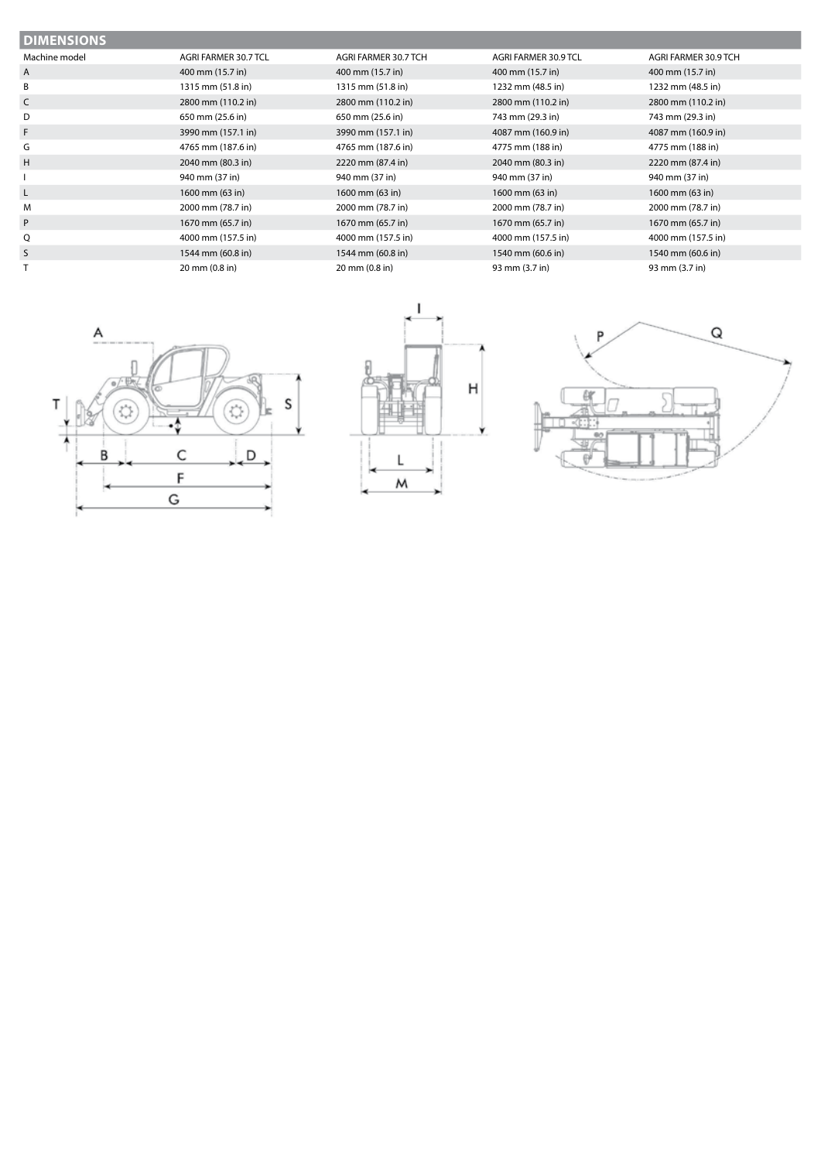| <b>DIMENSIONS</b> |                      |                      |                      |                      |  |  |  |
|-------------------|----------------------|----------------------|----------------------|----------------------|--|--|--|
| Machine model     | AGRI FARMER 30.7 TCL | AGRI FARMER 30.7 TCH | AGRI FARMER 30.9 TCL | AGRI FARMER 30.9 TCH |  |  |  |
| A                 | 400 mm (15.7 in)     | 400 mm (15.7 in)     | 400 mm (15.7 in)     | 400 mm (15.7 in)     |  |  |  |
| B                 | 1315 mm (51.8 in)    | 1315 mm (51.8 in)    | 1232 mm (48.5 in)    | 1232 mm (48.5 in)    |  |  |  |
| C                 | 2800 mm (110.2 in)   | 2800 mm (110.2 in)   | 2800 mm (110.2 in)   | 2800 mm (110.2 in)   |  |  |  |
| D                 | 650 mm (25.6 in)     | 650 mm (25.6 in)     | 743 mm (29.3 in)     | 743 mm (29.3 in)     |  |  |  |
| F.                | 3990 mm (157.1 in)   | 3990 mm (157.1 in)   | 4087 mm (160.9 in)   | 4087 mm (160.9 in)   |  |  |  |
| G                 | 4765 mm (187.6 in)   | 4765 mm (187.6 in)   | 4775 mm (188 in)     | 4775 mm (188 in)     |  |  |  |
| H                 | 2040 mm (80.3 in)    | 2220 mm (87.4 in)    | 2040 mm (80.3 in)    | 2220 mm (87.4 in)    |  |  |  |
|                   | 940 mm (37 in)       | 940 mm (37 in)       | 940 mm (37 in)       | 940 mm (37 in)       |  |  |  |
| L.                | 1600 mm (63 in)      | 1600 mm (63 in)      | 1600 mm (63 in)      | 1600 mm (63 in)      |  |  |  |
| M                 | 2000 mm (78.7 in)    | 2000 mm (78.7 in)    | 2000 mm (78.7 in)    | 2000 mm (78.7 in)    |  |  |  |
| P                 | 1670 mm (65.7 in)    | 1670 mm (65.7 in)    | 1670 mm (65.7 in)    | 1670 mm (65.7 in)    |  |  |  |
| Q                 | 4000 mm (157.5 in)   | 4000 mm (157.5 in)   | 4000 mm (157.5 in)   | 4000 mm (157.5 in)   |  |  |  |
| S                 | 1544 mm (60.8 in)    | 1544 mm (60.8 in)    | 1540 mm (60.6 in)    | 1540 mm (60.6 in)    |  |  |  |
|                   | 20 mm (0.8 in)       | 20 mm (0.8 in)       | 93 mm (3.7 in)       | 93 mm (3.7 in)       |  |  |  |